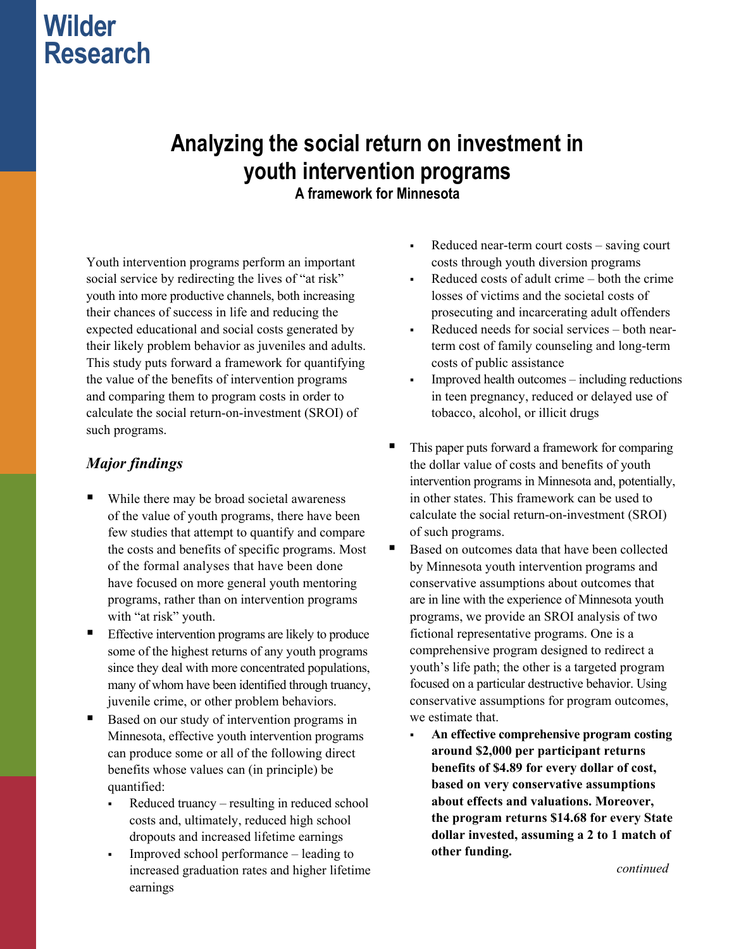# **Wilder Research**

# **Analyzing the social return on investment in youth intervention programs**

**A framework for Minnesota** 

Youth intervention programs perform an important social service by redirecting the lives of "at risk" youth into more productive channels, both increasing their chances of success in life and reducing the expected educational and social costs generated by their likely problem behavior as juveniles and adults. This study puts forward a framework for quantifying the value of the benefits of intervention programs and comparing them to program costs in order to calculate the social return-on-investment (SROI) of such programs.

### *Major findings*

- While there may be broad societal awareness of the value of youth programs, there have been few studies that attempt to quantify and compare the costs and benefits of specific programs. Most of the formal analyses that have been done have focused on more general youth mentoring programs, rather than on intervention programs with "at risk" youth.
- Effective intervention programs are likely to produce some of the highest returns of any youth programs since they deal with more concentrated populations, many of whom have been identified through truancy, juvenile crime, or other problem behaviors.
- Based on our study of intervention programs in Minnesota, effective youth intervention programs can produce some or all of the following direct benefits whose values can (in principle) be quantified:
	- Reduced truancy resulting in reduced school costs and, ultimately, reduced high school dropouts and increased lifetime earnings
	- Improved school performance leading to increased graduation rates and higher lifetime earnings
- Reduced near-term court costs saving court costs through youth diversion programs
- Reduced costs of adult crime both the crime losses of victims and the societal costs of prosecuting and incarcerating adult offenders
- Reduced needs for social services both nearterm cost of family counseling and long-term costs of public assistance
- Improved health outcomes including reductions in teen pregnancy, reduced or delayed use of tobacco, alcohol, or illicit drugs
- This paper puts forward a framework for comparing the dollar value of costs and benefits of youth intervention programs in Minnesota and, potentially, in other states. This framework can be used to calculate the social return-on-investment (SROI) of such programs.
- Based on outcomes data that have been collected by Minnesota youth intervention programs and conservative assumptions about outcomes that are in line with the experience of Minnesota youth programs, we provide an SROI analysis of two fictional representative programs. One is a comprehensive program designed to redirect a youth's life path; the other is a targeted program focused on a particular destructive behavior. Using conservative assumptions for program outcomes, we estimate that.
	- **An effective comprehensive program costing around \$2,000 per participant returns benefits of \$4.89 for every dollar of cost, based on very conservative assumptions about effects and valuations. Moreover, the program returns \$14.68 for every State dollar invested, assuming a 2 to 1 match of other funding.**